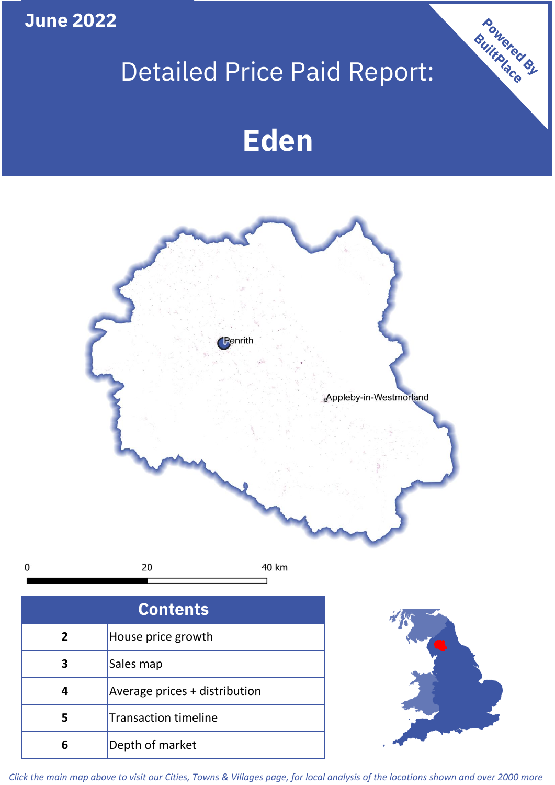**June 2022**

 $\mathbf 0$ 

# Detailed Price Paid Report:

Powered By

# **Eden**



*Click the main map above to visit our Cities, Towns & Villages page, for local analysis of the locations shown and over 2000 more*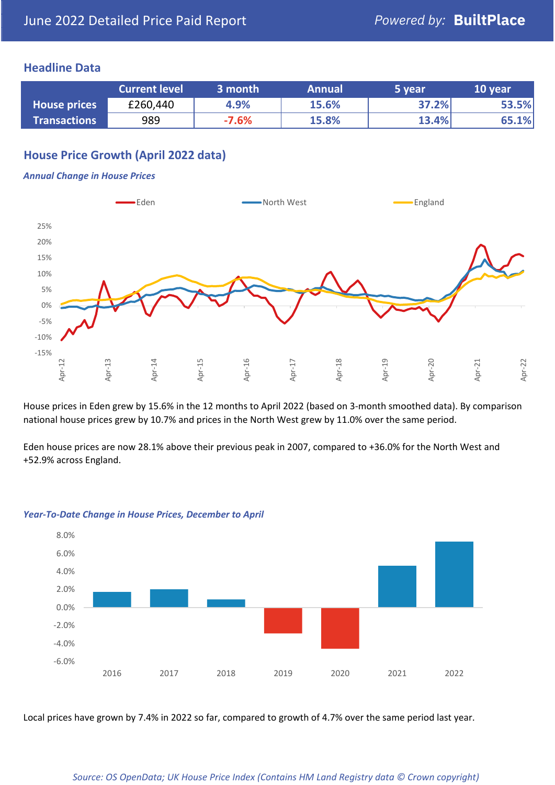### **Headline Data**

|                     | <b>Current level</b> | 3 month | <b>Annual</b> | 5 year | 10 year |
|---------------------|----------------------|---------|---------------|--------|---------|
| <b>House prices</b> | £260,440             | 4.9%    | 15.6%         | 37.2%  | 53.5%   |
| <b>Transactions</b> | 989                  | $-7.6%$ | 15.8%         | 13.4%  | 65.1%   |

# **House Price Growth (April 2022 data)**

#### *Annual Change in House Prices*



House prices in Eden grew by 15.6% in the 12 months to April 2022 (based on 3-month smoothed data). By comparison national house prices grew by 10.7% and prices in the North West grew by 11.0% over the same period.

Eden house prices are now 28.1% above their previous peak in 2007, compared to +36.0% for the North West and +52.9% across England.



#### *Year-To-Date Change in House Prices, December to April*

Local prices have grown by 7.4% in 2022 so far, compared to growth of 4.7% over the same period last year.

#### *Source: OS OpenData; UK House Price Index (Contains HM Land Registry data © Crown copyright)*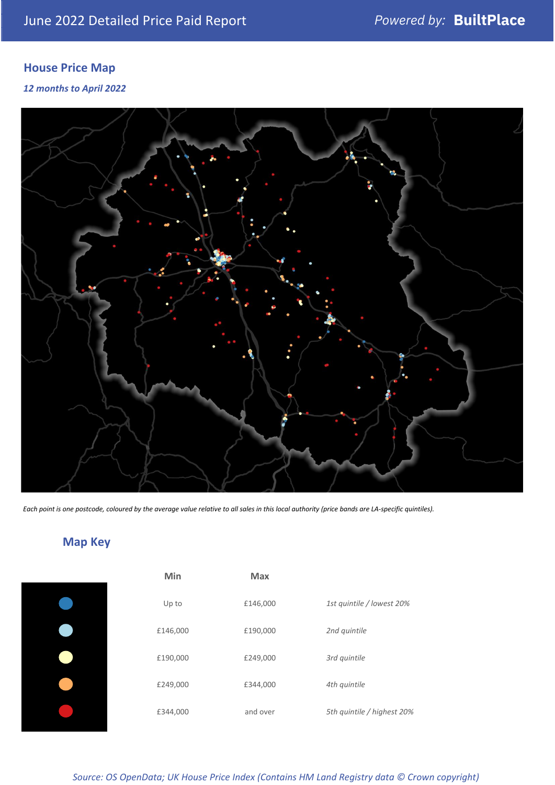# **House Price Map**

*12 months to April 2022*



*Each point is one postcode, coloured by the average value relative to all sales in this local authority (price bands are LA-specific quintiles).*

# **Map Key**

| Min      | <b>Max</b> |                            |
|----------|------------|----------------------------|
| Up to    | £146,000   | 1st quintile / lowest 20%  |
| £146,000 | £190,000   | 2nd quintile               |
| £190,000 | £249,000   | 3rd quintile               |
| £249,000 | £344,000   | 4th quintile               |
| £344,000 | and over   | 5th quintile / highest 20% |

*Source: OS OpenData; UK House Price Index (Contains HM Land Registry data © Crown copyright)*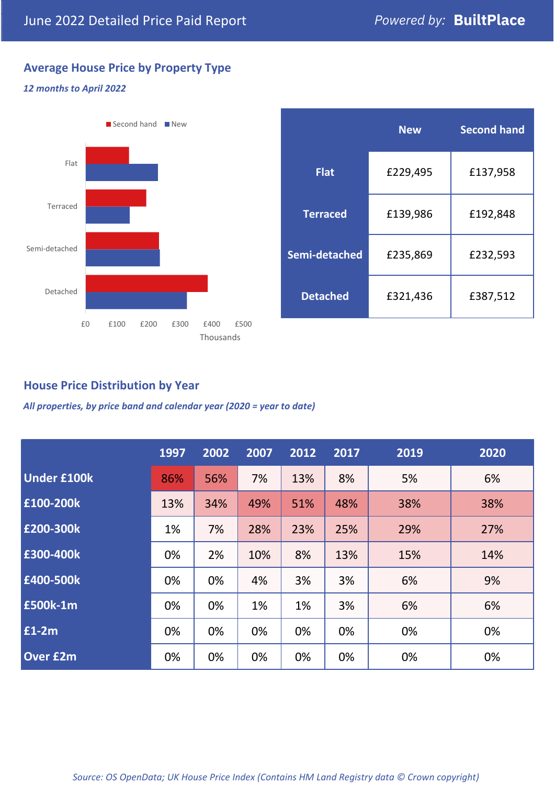# **Average House Price by Property Type**

#### *12 months to April 2022*



|                 | <b>New</b> | <b>Second hand</b> |  |  |
|-----------------|------------|--------------------|--|--|
| <b>Flat</b>     | £229,495   | £137,958           |  |  |
| <b>Terraced</b> | £139,986   | £192,848           |  |  |
| Semi-detached   | £235,869   | £232,593           |  |  |
| <b>Detached</b> | £321,436   | £387,512           |  |  |

# **House Price Distribution by Year**

*All properties, by price band and calendar year (2020 = year to date)*

|                    | 1997 | 2002 | 2007 | 2012 | 2017 | 2019 | 2020 |
|--------------------|------|------|------|------|------|------|------|
| <b>Under £100k</b> | 86%  | 56%  | 7%   | 13%  | 8%   | 5%   | 6%   |
| £100-200k          | 13%  | 34%  | 49%  | 51%  | 48%  | 38%  | 38%  |
| E200-300k          | 1%   | 7%   | 28%  | 23%  | 25%  | 29%  | 27%  |
| £300-400k          | 0%   | 2%   | 10%  | 8%   | 13%  | 15%  | 14%  |
| £400-500k          | 0%   | 0%   | 4%   | 3%   | 3%   | 6%   | 9%   |
| <b>£500k-1m</b>    | 0%   | 0%   | 1%   | 1%   | 3%   | 6%   | 6%   |
| £1-2m              | 0%   | 0%   | 0%   | 0%   | 0%   | 0%   | 0%   |
| <b>Over £2m</b>    | 0%   | 0%   | 0%   | 0%   | 0%   | 0%   | 0%   |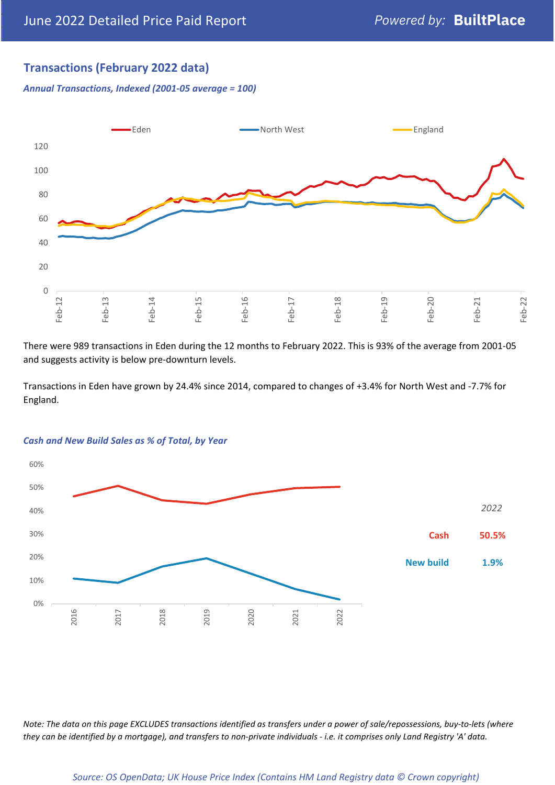## **Transactions (February 2022 data)**

*Annual Transactions, Indexed (2001-05 average = 100)*



There were 989 transactions in Eden during the 12 months to February 2022. This is 93% of the average from 2001-05 and suggests activity is below pre-downturn levels.

Transactions in Eden have grown by 24.4% since 2014, compared to changes of +3.4% for North West and -7.7% for England.



#### *Cash and New Build Sales as % of Total, by Year*

*Note: The data on this page EXCLUDES transactions identified as transfers under a power of sale/repossessions, buy-to-lets (where they can be identified by a mortgage), and transfers to non-private individuals - i.e. it comprises only Land Registry 'A' data.*